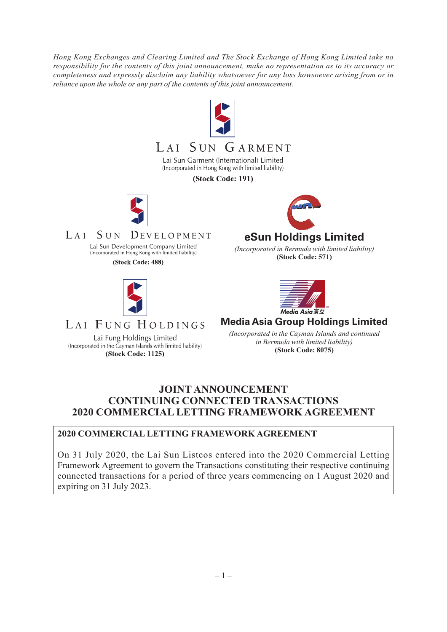*Hong Kong Exchanges and Clearing Limited and The Stock Exchange of Hong Kong Limited take no responsibility for the contents of this joint announcement, make no representation as to its accuracy or completeness and expressly disclaim any liability whatsoever for any loss howsoever arising from or in reliance upon the whole or any part of the contents of this joint announcement.*



(Incorporated in the Cayman Islands with limited liability) *In Bermuad with limited ita*<br>(Stock Code: 1125) (Stock Code: 8075)

*in Bermuda with limited liability)*

# **JOINT ANNOUNCEMENT CONTINUING CONNECTED TRANSACTIONS 2020 COMMERCIAL LETTING FRAMEWORK AGREEMENT**

## **2020 COMMERCIAL LETTING FRAMEWORK AGREEMENT**

On 31 July 2020, the Lai Sun Listcos entered into the 2020 Commercial Letting Framework Agreement to govern the Transactions constituting their respective continuing connected transactions for a period of three years commencing on 1 August 2020 and expiring on 31 July 2023.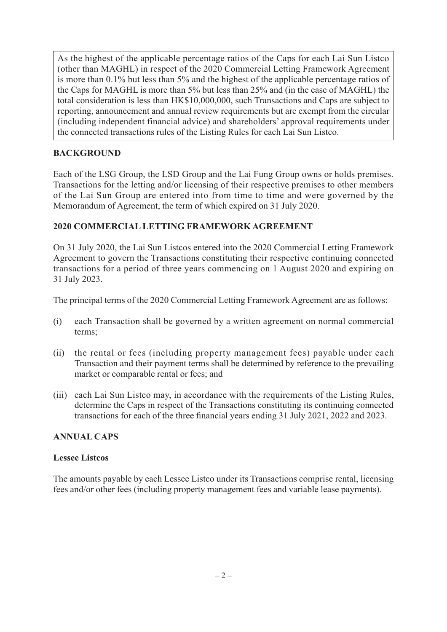As the highest of the applicable percentage ratios of the Caps for each Lai Sun Listco (other than MAGHL) in respect of the 2020 Commercial Letting Framework Agreement is more than 0.1% but less than 5% and the highest of the applicable percentage ratios of the Caps for MAGHL is more than 5% but less than 25% and (in the case of MAGHL) the total consideration is less than HK\$10,000,000, such Transactions and Caps are subject to reporting, announcement and annual review requirements but are exempt from the circular (including independent financial advice) and shareholders' approval requirements under the connected transactions rules of the Listing Rules for each Lai Sun Listco.

## **BACKGROUND**

Each of the LSG Group, the LSD Group and the Lai Fung Group owns or holds premises. Transactions for the letting and/or licensing of their respective premises to other members of the Lai Sun Group are entered into from time to time and were governed by the Memorandum of Agreement, the term of which expired on 31 July 2020.

## **2020 COMMERCIAL LETTING FRAMEWORK AGREEMENT**

On 31 July 2020, the Lai Sun Listcos entered into the 2020 Commercial Letting Framework Agreement to govern the Transactions constituting their respective continuing connected transactions for a period of three years commencing on 1 August 2020 and expiring on 31 July 2023.

The principal terms of the 2020 Commercial Letting Framework Agreement are as follows:

- (i) each Transaction shall be governed by a written agreement on normal commercial terms;
- (ii) the rental or fees (including property management fees) payable under each Transaction and their payment terms shall be determined by reference to the prevailing market or comparable rental or fees; and
- (iii) each Lai Sun Listco may, in accordance with the requirements of the Listing Rules, determine the Caps in respect of the Transactions constituting its continuing connected transactions for each of the three financial years ending 31 July 2021, 2022 and 2023.

## **ANNUAL CAPS**

## **Lessee Listcos**

The amounts payable by each Lessee Listco under its Transactions comprise rental, licensing fees and/or other fees (including property management fees and variable lease payments).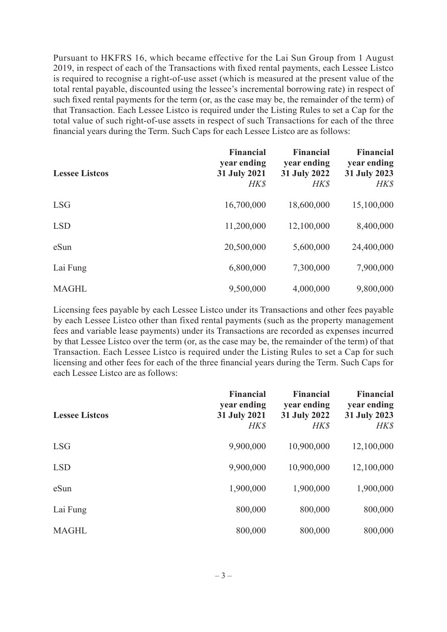Pursuant to HKFRS 16, which became effective for the Lai Sun Group from 1 August 2019, in respect of each of the Transactions with fixed rental payments, each Lessee Listco is required to recognise a right-of-use asset (which is measured at the present value of the total rental payable, discounted using the lessee's incremental borrowing rate) in respect of such fixed rental payments for the term (or, as the case may be, the remainder of the term) of that Transaction. Each Lessee Listco is required under the Listing Rules to set a Cap for the total value of such right-of-use assets in respect of such Transactions for each of the three financial years during the Term. Such Caps for each Lessee Listco are as follows:

| <b>Lessee Listcos</b> | <b>Financial</b><br>year ending<br>31 July 2021<br>HK\$ | <b>Financial</b><br>year ending<br>31 July 2022<br><b>HK\$</b> | <b>Financial</b><br>year ending<br>31 July 2023<br><b>HK\$</b> |
|-----------------------|---------------------------------------------------------|----------------------------------------------------------------|----------------------------------------------------------------|
| <b>LSG</b>            | 16,700,000                                              | 18,600,000                                                     | 15,100,000                                                     |
| <b>LSD</b>            | 11,200,000                                              | 12,100,000                                                     | 8,400,000                                                      |
| eSun                  | 20,500,000                                              | 5,600,000                                                      | 24,400,000                                                     |
| Lai Fung              | 6,800,000                                               | 7,300,000                                                      | 7,900,000                                                      |
| <b>MAGHL</b>          | 9,500,000                                               | 4,000,000                                                      | 9,800,000                                                      |

Licensing fees payable by each Lessee Listco under its Transactions and other fees payable by each Lessee Listco other than fixed rental payments (such as the property management fees and variable lease payments) under its Transactions are recorded as expenses incurred by that Lessee Listco over the term (or, as the case may be, the remainder of the term) of that Transaction. Each Lessee Listco is required under the Listing Rules to set a Cap for such licensing and other fees for each of the three financial years during the Term. Such Caps for each Lessee Listco are as follows:

| <b>Lessee Listcos</b> | <b>Financial</b><br>year ending<br>31 July 2021<br>HK\$ | <b>Financial</b><br>year ending<br>31 July 2022<br>HK\$ | <b>Financial</b><br>year ending<br>31 July 2023<br><b>HK\$</b> |
|-----------------------|---------------------------------------------------------|---------------------------------------------------------|----------------------------------------------------------------|
| <b>LSG</b>            | 9,900,000                                               | 10,900,000                                              | 12,100,000                                                     |
| <b>LSD</b>            | 9,900,000                                               | 10,900,000                                              | 12,100,000                                                     |
| eSun                  | 1,900,000                                               | 1,900,000                                               | 1,900,000                                                      |
| Lai Fung              | 800,000                                                 | 800,000                                                 | 800,000                                                        |
| <b>MAGHL</b>          | 800,000                                                 | 800,000                                                 | 800,000                                                        |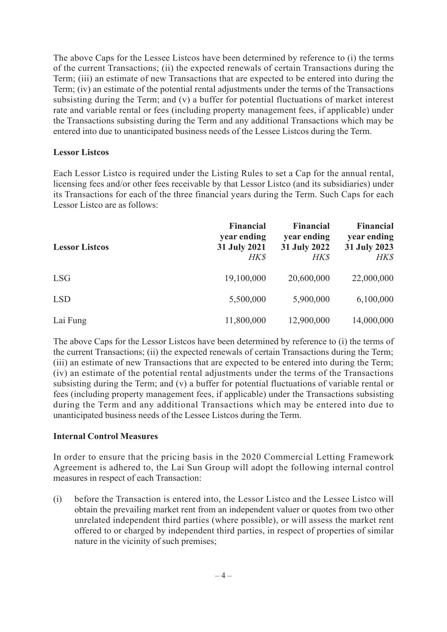The above Caps for the Lessee Listcos have been determined by reference to (i) the terms of the current Transactions; (ii) the expected renewals of certain Transactions during the Term; (iii) an estimate of new Transactions that are expected to be entered into during the Term; (iv) an estimate of the potential rental adjustments under the terms of the Transactions subsisting during the Term; and (v) a buffer for potential fluctuations of market interest rate and variable rental or fees (including property management fees, if applicable) under the Transactions subsisting during the Term and any additional Transactions which may be entered into due to unanticipated business needs of the Lessee Listcos during the Term.

#### **Lessor Listcos**

Each Lessor Listco is required under the Listing Rules to set a Cap for the annual rental, licensing fees and/or other fees receivable by that Lessor Listco (and its subsidiaries) under its Transactions for each of the three financial years during the Term. Such Caps for each Lessor Listco are as follows:

| <b>Lessor Listcos</b> | <b>Financial</b><br>year ending<br>31 July 2021<br><b>HK\$</b> | <b>Financial</b><br>year ending<br>31 July 2022<br><b>HK\$</b> | <b>Financial</b><br>year ending<br>31 July 2023<br><b>HK\$</b> |
|-----------------------|----------------------------------------------------------------|----------------------------------------------------------------|----------------------------------------------------------------|
| <b>LSG</b>            | 19,100,000                                                     | 20,600,000                                                     | 22,000,000                                                     |
| <b>LSD</b>            | 5,500,000                                                      | 5,900,000                                                      | 6,100,000                                                      |
| Lai Fung              | 11,800,000                                                     | 12,900,000                                                     | 14,000,000                                                     |

The above Caps for the Lessor Listcos have been determined by reference to (i) the terms of the current Transactions; (ii) the expected renewals of certain Transactions during the Term; (iii) an estimate of new Transactions that are expected to be entered into during the Term; (iv) an estimate of the potential rental adjustments under the terms of the Transactions subsisting during the Term; and (v) a buffer for potential fluctuations of variable rental or fees (including property management fees, if applicable) under the Transactions subsisting during the Term and any additional Transactions which may be entered into due to unanticipated business needs of the Lessee Listcos during the Term.

#### **Internal Control Measures**

In order to ensure that the pricing basis in the 2020 Commercial Letting Framework Agreement is adhered to, the Lai Sun Group will adopt the following internal control measures in respect of each Transaction:

(i) before the Transaction is entered into, the Lessor Listco and the Lessee Listco will obtain the prevailing market rent from an independent valuer or quotes from two other unrelated independent third parties (where possible), or will assess the market rent offered to or charged by independent third parties, in respect of properties of similar nature in the vicinity of such premises;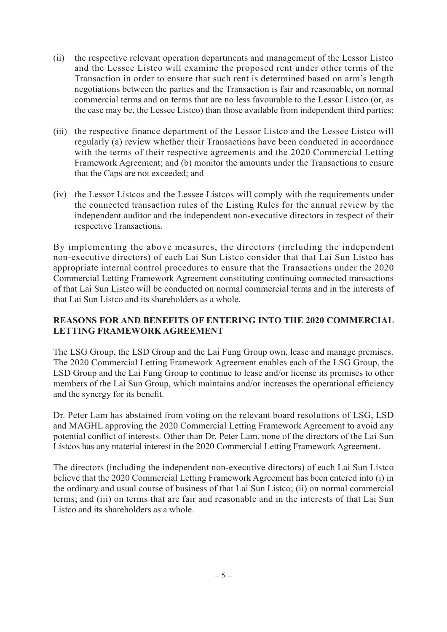- (ii) the respective relevant operation departments and management of the Lessor Listco and the Lessee Listco will examine the proposed rent under other terms of the Transaction in order to ensure that such rent is determined based on arm's length negotiations between the parties and the Transaction is fair and reasonable, on normal commercial terms and on terms that are no less favourable to the Lessor Listco (or, as the case may be, the Lessee Listco) than those available from independent third parties;
- (iii) the respective finance department of the Lessor Listco and the Lessee Listco will regularly (a) review whether their Transactions have been conducted in accordance with the terms of their respective agreements and the 2020 Commercial Letting Framework Agreement; and (b) monitor the amounts under the Transactions to ensure that the Caps are not exceeded; and
- (iv) the Lessor Listcos and the Lessee Listcos will comply with the requirements under the connected transaction rules of the Listing Rules for the annual review by the independent auditor and the independent non-executive directors in respect of their respective Transactions.

By implementing the above measures, the directors (including the independent non-executive directors) of each Lai Sun Listco consider that that Lai Sun Listco has appropriate internal control procedures to ensure that the Transactions under the 2020 Commercial Letting Framework Agreement constituting continuing connected transactions of that Lai Sun Listco will be conducted on normal commercial terms and in the interests of that Lai Sun Listco and its shareholders as a whole.

#### **REASONS FOR AND BENEFITS OF ENTERING INTO THE 2020 COMMERCIAL LETTING FRAMEWORK AGREEMENT**

The LSG Group, the LSD Group and the Lai Fung Group own, lease and manage premises. The 2020 Commercial Letting Framework Agreement enables each of the LSG Group, the LSD Group and the Lai Fung Group to continue to lease and/or license its premises to other members of the Lai Sun Group, which maintains and/or increases the operational efficiency and the synergy for its benefit.

Dr. Peter Lam has abstained from voting on the relevant board resolutions of LSG, LSD and MAGHL approving the 2020 Commercial Letting Framework Agreement to avoid any potential conflict of interests. Other than Dr. Peter Lam, none of the directors of the Lai Sun Listcos has any material interest in the 2020 Commercial Letting Framework Agreement.

The directors (including the independent non-executive directors) of each Lai Sun Listco believe that the 2020 Commercial Letting Framework Agreement has been entered into (i) in the ordinary and usual course of business of that Lai Sun Listco; (ii) on normal commercial terms; and (iii) on terms that are fair and reasonable and in the interests of that Lai Sun Listco and its shareholders as a whole.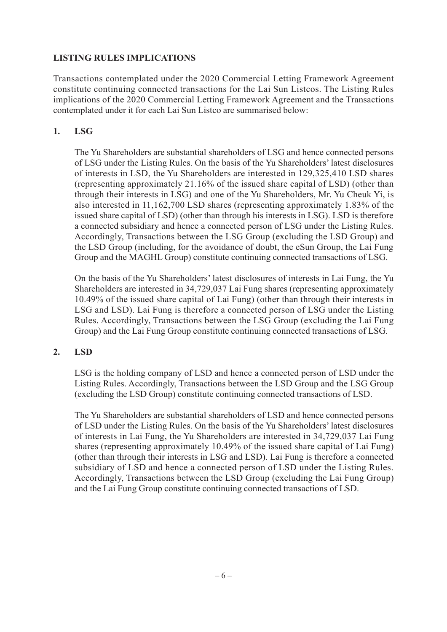## **LISTING RULES IMPLICATIONS**

Transactions contemplated under the 2020 Commercial Letting Framework Agreement constitute continuing connected transactions for the Lai Sun Listcos. The Listing Rules implications of the 2020 Commercial Letting Framework Agreement and the Transactions contemplated under it for each Lai Sun Listco are summarised below:

## **1. LSG**

The Yu Shareholders are substantial shareholders of LSG and hence connected persons of LSG under the Listing Rules. On the basis of the Yu Shareholders' latest disclosures of interests in LSD, the Yu Shareholders are interested in 129,325,410 LSD shares (representing approximately 21.16% of the issued share capital of LSD) (other than through their interests in LSG) and one of the Yu Shareholders, Mr. Yu Cheuk Yi, is also interested in 11,162,700 LSD shares (representing approximately 1.83% of the issued share capital of LSD) (other than through his interests in LSG). LSD is therefore a connected subsidiary and hence a connected person of LSG under the Listing Rules. Accordingly, Transactions between the LSG Group (excluding the LSD Group) and the LSD Group (including, for the avoidance of doubt, the eSun Group, the Lai Fung Group and the MAGHL Group) constitute continuing connected transactions of LSG.

On the basis of the Yu Shareholders' latest disclosures of interests in Lai Fung, the Yu Shareholders are interested in 34,729,037 Lai Fung shares (representing approximately 10.49% of the issued share capital of Lai Fung) (other than through their interests in LSG and LSD). Lai Fung is therefore a connected person of LSG under the Listing Rules. Accordingly, Transactions between the LSG Group (excluding the Lai Fung Group) and the Lai Fung Group constitute continuing connected transactions of LSG.

## **2. LSD**

LSG is the holding company of LSD and hence a connected person of LSD under the Listing Rules. Accordingly, Transactions between the LSD Group and the LSG Group (excluding the LSD Group) constitute continuing connected transactions of LSD.

The Yu Shareholders are substantial shareholders of LSD and hence connected persons of LSD under the Listing Rules. On the basis of the Yu Shareholders' latest disclosures of interests in Lai Fung, the Yu Shareholders are interested in 34,729,037 Lai Fung shares (representing approximately 10.49% of the issued share capital of Lai Fung) (other than through their interests in LSG and LSD). Lai Fung is therefore a connected subsidiary of LSD and hence a connected person of LSD under the Listing Rules. Accordingly, Transactions between the LSD Group (excluding the Lai Fung Group) and the Lai Fung Group constitute continuing connected transactions of LSD.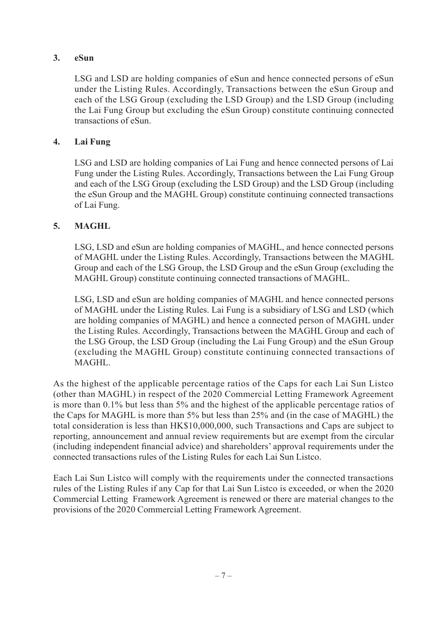## **3. eSun**

LSG and LSD are holding companies of eSun and hence connected persons of eSun under the Listing Rules. Accordingly, Transactions between the eSun Group and each of the LSG Group (excluding the LSD Group) and the LSD Group (including the Lai Fung Group but excluding the eSun Group) constitute continuing connected transactions of eSun.

## **4. Lai Fung**

LSG and LSD are holding companies of Lai Fung and hence connected persons of Lai Fung under the Listing Rules. Accordingly, Transactions between the Lai Fung Group and each of the LSG Group (excluding the LSD Group) and the LSD Group (including the eSun Group and the MAGHL Group) constitute continuing connected transactions of Lai Fung.

## **5. MAGHL**

LSG, LSD and eSun are holding companies of MAGHL, and hence connected persons of MAGHL under the Listing Rules. Accordingly, Transactions between the MAGHL Group and each of the LSG Group, the LSD Group and the eSun Group (excluding the MAGHL Group) constitute continuing connected transactions of MAGHL.

LSG, LSD and eSun are holding companies of MAGHL and hence connected persons of MAGHL under the Listing Rules. Lai Fung is a subsidiary of LSG and LSD (which are holding companies of MAGHL) and hence a connected person of MAGHL under the Listing Rules. Accordingly, Transactions between the MAGHL Group and each of the LSG Group, the LSD Group (including the Lai Fung Group) and the eSun Group (excluding the MAGHL Group) constitute continuing connected transactions of MAGHL.

As the highest of the applicable percentage ratios of the Caps for each Lai Sun Listco (other than MAGHL) in respect of the 2020 Commercial Letting Framework Agreement is more than 0.1% but less than 5% and the highest of the applicable percentage ratios of the Caps for MAGHL is more than 5% but less than 25% and (in the case of MAGHL) the total consideration is less than HK\$10,000,000, such Transactions and Caps are subject to reporting, announcement and annual review requirements but are exempt from the circular (including independent financial advice) and shareholders' approval requirements under the connected transactions rules of the Listing Rules for each Lai Sun Listco.

Each Lai Sun Listco will comply with the requirements under the connected transactions rules of the Listing Rules if any Cap for that Lai Sun Listco is exceeded, or when the 2020 Commercial Letting Framework Agreement is renewed or there are material changes to the provisions of the 2020 Commercial Letting Framework Agreement.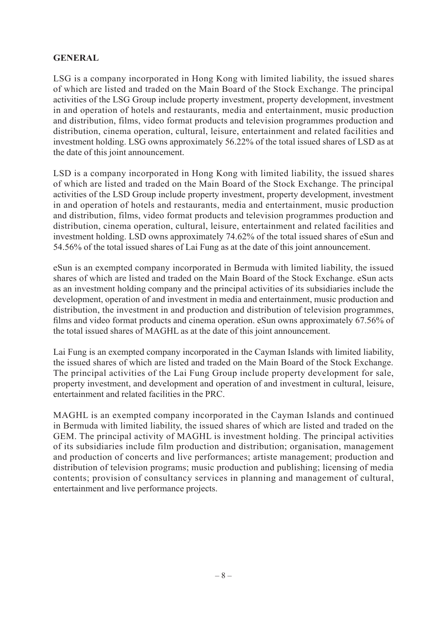#### **GENERAL**

LSG is a company incorporated in Hong Kong with limited liability, the issued shares of which are listed and traded on the Main Board of the Stock Exchange. The principal activities of the LSG Group include property investment, property development, investment in and operation of hotels and restaurants, media and entertainment, music production and distribution, films, video format products and television programmes production and distribution, cinema operation, cultural, leisure, entertainment and related facilities and investment holding. LSG owns approximately 56.22% of the total issued shares of LSD as at the date of this joint announcement.

LSD is a company incorporated in Hong Kong with limited liability, the issued shares of which are listed and traded on the Main Board of the Stock Exchange. The principal activities of the LSD Group include property investment, property development, investment in and operation of hotels and restaurants, media and entertainment, music production and distribution, films, video format products and television programmes production and distribution, cinema operation, cultural, leisure, entertainment and related facilities and investment holding. LSD owns approximately 74.62% of the total issued shares of eSun and 54.56% of the total issued shares of Lai Fung as at the date of this joint announcement.

eSun is an exempted company incorporated in Bermuda with limited liability, the issued shares of which are listed and traded on the Main Board of the Stock Exchange. eSun acts as an investment holding company and the principal activities of its subsidiaries include the development, operation of and investment in media and entertainment, music production and distribution, the investment in and production and distribution of television programmes, films and video format products and cinema operation. eSun owns approximately 67.56% of the total issued shares of MAGHL as at the date of this joint announcement.

Lai Fung is an exempted company incorporated in the Cayman Islands with limited liability, the issued shares of which are listed and traded on the Main Board of the Stock Exchange. The principal activities of the Lai Fung Group include property development for sale, property investment, and development and operation of and investment in cultural, leisure, entertainment and related facilities in the PRC.

MAGHL is an exempted company incorporated in the Cayman Islands and continued in Bermuda with limited liability, the issued shares of which are listed and traded on the GEM. The principal activity of MAGHL is investment holding. The principal activities of its subsidiaries include film production and distribution; organisation, management and production of concerts and live performances; artiste management; production and distribution of television programs; music production and publishing; licensing of media contents; provision of consultancy services in planning and management of cultural, entertainment and live performance projects.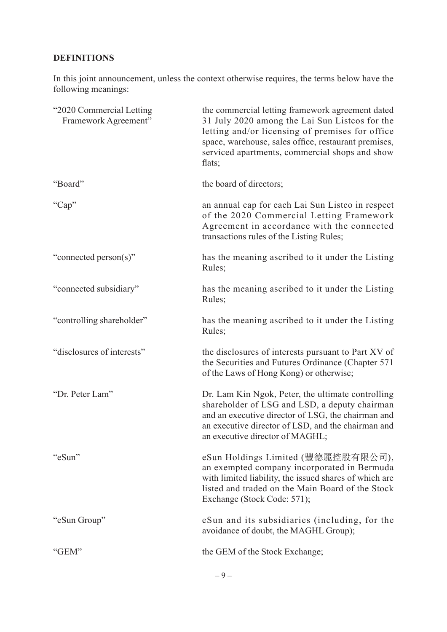# **DEFINITIONS**

In this joint announcement, unless the context otherwise requires, the terms below have the following meanings:

| "2020 Commercial Letting<br>Framework Agreement" | the commercial letting framework agreement dated<br>31 July 2020 among the Lai Sun Listcos for the<br>letting and/or licensing of premises for office<br>space, warehouse, sales office, restaurant premises,<br>serviced apartments, commercial shops and show<br>flats; |
|--------------------------------------------------|---------------------------------------------------------------------------------------------------------------------------------------------------------------------------------------------------------------------------------------------------------------------------|
| "Board"                                          | the board of directors;                                                                                                                                                                                                                                                   |
| "Cap"                                            | an annual cap for each Lai Sun Listco in respect<br>of the 2020 Commercial Letting Framework<br>Agreement in accordance with the connected<br>transactions rules of the Listing Rules;                                                                                    |
| "connected person(s)"                            | has the meaning ascribed to it under the Listing<br>Rules;                                                                                                                                                                                                                |
| "connected subsidiary"                           | has the meaning ascribed to it under the Listing<br>Rules;                                                                                                                                                                                                                |
| "controlling shareholder"                        | has the meaning ascribed to it under the Listing<br>Rules;                                                                                                                                                                                                                |
| "disclosures of interests"                       | the disclosures of interests pursuant to Part XV of<br>the Securities and Futures Ordinance (Chapter 571)<br>of the Laws of Hong Kong) or otherwise;                                                                                                                      |
| "Dr. Peter Lam"                                  | Dr. Lam Kin Ngok, Peter, the ultimate controlling<br>shareholder of LSG and LSD, a deputy chairman<br>and an executive director of LSG, the chairman and<br>an executive director of LSD, and the chairman and<br>an executive director of MAGHL;                         |
| "eSun"                                           | eSun Holdings Limited (豐德麗控股有限公司),<br>an exempted company incorporated in Bermuda<br>with limited liability, the issued shares of which are<br>listed and traded on the Main Board of the Stock<br>Exchange (Stock Code: 571);                                            |
| "eSun Group"                                     | eSun and its subsidiaries (including, for the<br>avoidance of doubt, the MAGHL Group);                                                                                                                                                                                    |
| "GEM"                                            | the GEM of the Stock Exchange;                                                                                                                                                                                                                                            |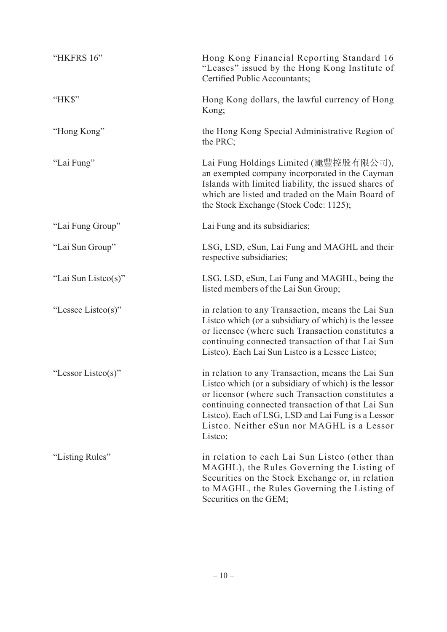| "HKFRS 16"          | Hong Kong Financial Reporting Standard 16<br>"Leases" issued by the Hong Kong Institute of<br>Certified Public Accountants;                                                                                                                                                                                                        |
|---------------------|------------------------------------------------------------------------------------------------------------------------------------------------------------------------------------------------------------------------------------------------------------------------------------------------------------------------------------|
| "HK\$"              | Hong Kong dollars, the lawful currency of Hong<br>Kong;                                                                                                                                                                                                                                                                            |
| "Hong Kong"         | the Hong Kong Special Administrative Region of<br>the $PRC$ ;                                                                                                                                                                                                                                                                      |
| "Lai Fung"          | Lai Fung Holdings Limited (麗豐控股有限公司),<br>an exempted company incorporated in the Cayman<br>Islands with limited liability, the issued shares of<br>which are listed and traded on the Main Board of<br>the Stock Exchange (Stock Code: 1125);                                                                                      |
| "Lai Fung Group"    | Lai Fung and its subsidiaries;                                                                                                                                                                                                                                                                                                     |
| "Lai Sun Group"     | LSG, LSD, eSun, Lai Fung and MAGHL and their<br>respective subsidiaries;                                                                                                                                                                                                                                                           |
| "Lai Sun Listco(s)" | LSG, LSD, eSun, Lai Fung and MAGHL, being the<br>listed members of the Lai Sun Group;                                                                                                                                                                                                                                              |
| "Lessee Listco(s)"  | in relation to any Transaction, means the Lai Sun<br>Listco which (or a subsidiary of which) is the lessee<br>or licensee (where such Transaction constitutes a<br>continuing connected transaction of that Lai Sun<br>Listco). Each Lai Sun Listco is a Lessee Listco;                                                            |
| "Lessor Listco(s)"  | in relation to any Transaction, means the Lai Sun<br>Listco which (or a subsidiary of which) is the lessor<br>or licensor (where such Transaction constitutes a<br>continuing connected transaction of that Lai Sun<br>Listco). Each of LSG, LSD and Lai Fung is a Lessor<br>Listco. Neither eSun nor MAGHL is a Lessor<br>Listco; |
| "Listing Rules"     | in relation to each Lai Sun Listco (other than<br>MAGHL), the Rules Governing the Listing of<br>Securities on the Stock Exchange or, in relation<br>to MAGHL, the Rules Governing the Listing of<br>Securities on the GEM;                                                                                                         |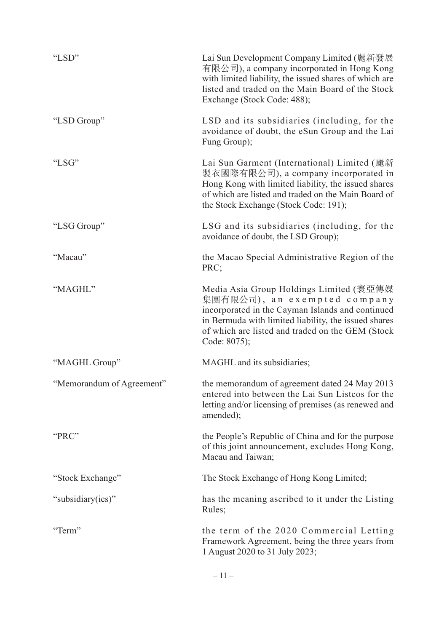| "LSD"                     | Lai Sun Development Company Limited (麗新發展<br>有限公司), a company incorporated in Hong Kong<br>with limited liability, the issued shares of which are<br>listed and traded on the Main Board of the Stock<br>Exchange (Stock Code: 488);                    |
|---------------------------|---------------------------------------------------------------------------------------------------------------------------------------------------------------------------------------------------------------------------------------------------------|
| "LSD Group"               | LSD and its subsidiaries (including, for the<br>avoidance of doubt, the eSun Group and the Lai<br>Fung Group);                                                                                                                                          |
| "LSG"                     | Lai Sun Garment (International) Limited (麗新<br>製衣國際有限公司), a company incorporated in<br>Hong Kong with limited liability, the issued shares<br>of which are listed and traded on the Main Board of<br>the Stock Exchange (Stock Code: 191);              |
| "LSG Group"               | LSG and its subsidiaries (including, for the<br>avoidance of doubt, the LSD Group);                                                                                                                                                                     |
| "Macau"                   | the Macao Special Administrative Region of the<br>PRC:                                                                                                                                                                                                  |
| "MAGHL"                   | Media Asia Group Holdings Limited (寰亞傳媒<br>集團有限公司), an exempted company<br>incorporated in the Cayman Islands and continued<br>in Bermuda with limited liability, the issued shares<br>of which are listed and traded on the GEM (Stock<br>Code: 8075); |
| "MAGHL Group"             | MAGHL and its subsidiaries;                                                                                                                                                                                                                             |
| "Memorandum of Agreement" | the memorandum of agreement dated 24 May 2013<br>entered into between the Lai Sun Listcos for the<br>letting and/or licensing of premises (as renewed and<br>amended);                                                                                  |
| "PRC"                     | the People's Republic of China and for the purpose<br>of this joint announcement, excludes Hong Kong,<br>Macau and Taiwan;                                                                                                                              |
| "Stock Exchange"          | The Stock Exchange of Hong Kong Limited;                                                                                                                                                                                                                |
| "subsidiary(ies)"         | has the meaning ascribed to it under the Listing<br>Rules;                                                                                                                                                                                              |
| "Term"                    | the term of the 2020 Commercial Letting<br>Framework Agreement, being the three years from<br>1 August 2020 to 31 July 2023;                                                                                                                            |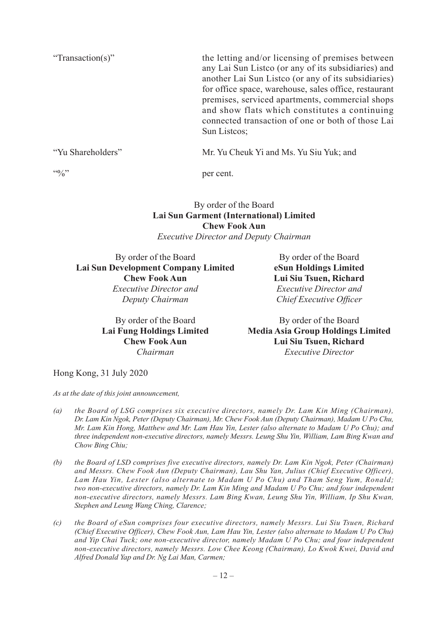"Transaction(s)" the letting and/or licensing of premises between any Lai Sun Listco (or any of its subsidiaries) and another Lai Sun Listco (or any of its subsidiaries) for office space, warehouse, sales office, restaurant premises, serviced apartments, commercial shops and show flats which constitutes a continuing connected transaction of one or both of those Lai Sun Listcos;

"Yu Shareholders" Mr. Yu Cheuk Yi and Ms. Yu Siu Yuk; and

 $\frac{10}{2}$ " per cent.

#### By order of the Board **Lai Sun Garment (International) Limited Chew Fook Aun** *Executive Director and Deputy Chairman*

By order of the Board By order of the Board **Lai Sun Development Company Limited eSun Holdings Limited Chew Fook Aun Lui Siu Tsuen, Richard** *Executive Director and Executive Director and*

*Deputy Chairman Chief Executive Officer*

By order of the Board By order of the Board **Lai Fung Holdings Limited Media Asia Group Holdings Limited Chew Fook Aun Lui Siu Tsuen, Richard** *Chairman Executive Director*

Hong Kong, 31 July 2020

*As at the date of this joint announcement,*

- *(a) the Board of LSG comprises six executive directors, namely Dr. Lam Kin Ming (Chairman), Dr. Lam Kin Ngok, Peter (Deputy Chairman), Mr. Chew Fook Aun (Deputy Chairman), Madam U Po Chu, Mr. Lam Kin Hong, Matthew and Mr. Lam Hau Yin, Lester (also alternate to Madam U Po Chu); and three independent non-executive directors, namely Messrs. Leung Shu Yin, William, Lam Bing Kwan and Chow Bing Chiu;*
- *(b) the Board of LSD comprises five executive directors, namely Dr. Lam Kin Ngok, Peter (Chairman) and Messrs. Chew Fook Aun (Deputy Chairman), Lau Shu Yan, Julius (Chief Executive Officer), Lam Hau Yin, Lester (also alternate to Madam U Po Chu) and Tham Seng Yum, Ronald; two non-executive directors, namely Dr. Lam Kin Ming and Madam U Po Chu; and four independent non-executive directors, namely Messrs. Lam Bing Kwan, Leung Shu Yin, William, Ip Shu Kwan, Stephen and Leung Wang Ching, Clarence;*
- *(c) the Board of eSun comprises four executive directors, namely Messrs. Lui Siu Tsuen, Richard (Chief Executive Officer), Chew Fook Aun, Lam Hau Yin, Lester (also alternate to Madam U Po Chu) and Yip Chai Tuck; one non-executive director, namely Madam U Po Chu; and four independent non-executive directors, namely Messrs. Low Chee Keong (Chairman), Lo Kwok Kwei, David and Alfred Donald Yap and Dr. Ng Lai Man, Carmen;*